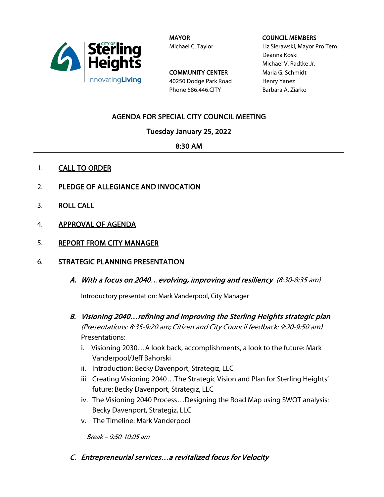

MAYOR Michael C. Taylor

COMMUNITY CENTER 40250 Dodge Park Road Phone 586.446.CITY

#### COUNCIL MEMBERS

Liz Sierawski, Mayor Pro Tem Deanna Koski Michael V. Radtke Jr. Maria G. Schmidt Henry Yanez Barbara A. Ziarko

# AGENDA FOR SPECIAL CITY COUNCIL MEETING

Tuesday January 25, 2022

### 8:30 AM

- 1. **CALL TO ORDER**
- 2. PLEDGE OF ALLEGIANCE AND INVOCATION
- 3. ROLL CALL
- 4. APPROVAL OF AGENDA
- 5. REPORT FROM CITY MANAGER

#### 6. STRATEGIC PLANNING PRESENTATION

A. With a focus on 2040…evolving, improving and resiliency (8:30-8:35 am)

Introductory presentation: Mark Vanderpool, City Manager

- B. Visioning 2040…refining and improving the Sterling Heights strategic plan (Presentations: 8:35-9:20 am; Citizen and City Council feedback: 9:20-9:50 am) Presentations:
	- i. Visioning 2030…A look back, accomplishments, a look to the future: Mark Vanderpool/Jeff Bahorski
	- ii. Introduction: Becky Davenport, Strategiz, LLC
	- iii. Creating Visioning 2040…The Strategic Vision and Plan for Sterling Heights' future: Becky Davenport, Strategiz, LLC
	- iv. The Visioning 2040 Process…Designing the Road Map using SWOT analysis: Becky Davenport, Strategiz, LLC
	- v. The Timeline: Mark Vanderpool

Break – 9:50-10:05 am

C. Entrepreneurial services…a revitalized focus for Velocity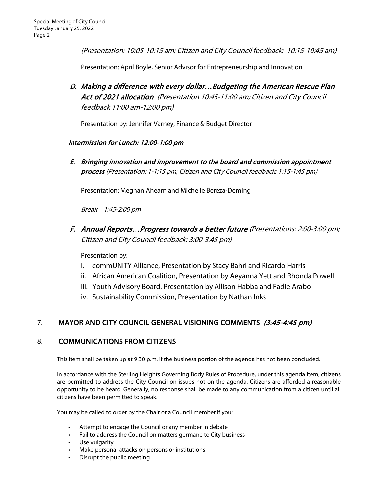(Presentation: 10:05-10:15 am; Citizen and City Council feedback: 10:15-10:45 am)

Presentation: April Boyle, Senior Advisor for Entrepreneurship and Innovation

D. Making a difference with every dollar…Budgeting the American Rescue Plan Act of 2021 allocation (Presentation 10:45-11:00 am; Citizen and City Council feedback 11:00 am-12:00 pm)

Presentation by: Jennifer Varney, Finance & Budget Director

#### Intermission for Lunch: 12:00-1:00 pm

E. Bringing innovation and improvement to the board and commission appointment process (Presentation: 1-1:15 pm; Citizen and City Council feedback: 1:15-1:45 pm)

Presentation: Meghan Ahearn and Michelle Bereza-Deming

Break – 1:45-2:00 pm

F. Annual Reports…Progress towards a better future (Presentations: 2:00-3:00 pm; Citizen and City Council feedback: 3:00-3:45 pm)

Presentation by:

- i. commUNITY Alliance, Presentation by Stacy Bahri and Ricardo Harris
- ii. African American Coalition, Presentation by Aeyanna Yett and Rhonda Powell
- iii. Youth Advisory Board, Presentation by Allison Habba and Fadie Arabo
- iv. Sustainability Commission, Presentation by Nathan Inks

# 7. MAYOR AND CITY COUNCIL GENERAL VISIONING COMMENTS (3:45-4:45 pm)

# 8. COMMUNICATIONS FROM CITIZENS

This item shall be taken up at 9:30 p.m. if the business portion of the agenda has not been concluded.

In accordance with the Sterling Heights Governing Body Rules of Procedure, under this agenda item, citizens are permitted to address the City Council on issues not on the agenda. Citizens are afforded a reasonable opportunity to be heard. Generally, no response shall be made to any communication from a citizen until all citizens have been permitted to speak.

You may be called to order by the Chair or a Council member if you:

- Attempt to engage the Council or any member in debate
- Fail to address the Council on matters germane to City business
- Use vulgarity
- Make personal attacks on persons or institutions
- Disrupt the public meeting